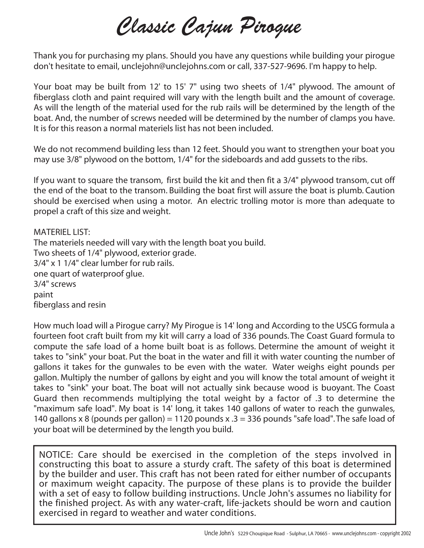# *Classic Cajun Pirogue*

Thank you for purchasing my plans. Should you have any questions while building your pirogue don't hesitate to email, unclejohn@unclejohns.com or call, 337-527-9696. I'm happy to help.

Your boat may be built from 12' to 15' 7" using two sheets of 1/4" plywood. The amount of fiberglass cloth and paint required will vary with the length built and the amount of coverage. As will the length of the material used for the rub rails will be determined by the length of the boat. And, the number of screws needed will be determined by the number of clamps you have. It is for this reason a normal materiels list has not been included.

We do not recommend building less than 12 feet. Should you want to strengthen your boat you may use 3/8" plywood on the bottom, 1/4" for the sideboards and add gussets to the ribs.

If you want to square the transom, first build the kit and then fit a 3/4" plywood transom, cut off the end of the boat to the transom. Building the boat first will assure the boat is plumb. Caution should be exercised when using a motor. An electric trolling motor is more than adequate to propel a craft of this size and weight.

MATERIEL LIST: The materiels needed will vary with the length boat you build. Two sheets of 1/4" plywood, exterior grade. 3/4" x 1 1/4" clear lumber for rub rails. one quart of waterproof glue. 3/4" screws paint fiberglass and resin

How much load will a Pirogue carry? My Pirogue is 14' long and According to the USCG formula a fourteen foot craft built from my kit will carry a load of 336 pounds. The Coast Guard formula to compute the safe load of a home built boat is as follows. Determine the amount of weight it takes to "sink" your boat. Put the boat in the water and fill it with water counting the number of gallons it takes for the gunwales to be even with the water. Water weighs eight pounds per gallon. Multiply the number of gallons by eight and you will know the total amount of weight it takes to "sink" your boat. The boat will not actually sink because wood is buoyant. The Coast Guard then recommends multiplying the total weight by a factor of .3 to determine the "maximum safe load". My boat is 14' long, it takes 140 gallons of water to reach the gunwales, 140 gallons x 8 (pounds per gallon) = 1120 pounds x  $.3 = 336$  pounds "safe load". The safe load of your boat will be determined by the length you build.

NOTICE: Care should be exercised in the completion of the steps involved in constructing this boat to assure a sturdy craft. The safety of this boat is determined by the builder and user. This craft has not been rated for either number of occupants or maximum weight capacity. The purpose of these plans is to provide the builder with a set of easy to follow building instructions. Uncle John's assumes no liability for the finished project. As with any water-craft, life-jackets should be worn and caution exercised in regard to weather and water conditions.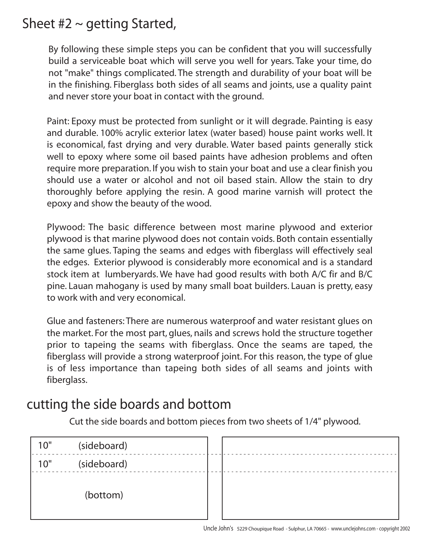## Sheet  $#2 \sim$  getting Started,

By following these simple steps you can be confident that you will successfully build a serviceable boat which will serve you well for years. Take your time, do not "make" things complicated. The strength and durability of your boat will be in the finishing. Fiberglass both sides of all seams and joints, use a quality paint and never store your boat in contact with the ground.

Paint: Epoxy must be protected from sunlight or it will degrade. Painting is easy and durable. 100% acrylic exterior latex (water based) house paint works well. It is economical, fast drying and very durable. Water based paints generally stick well to epoxy where some oil based paints have adhesion problems and often require more preparation. If you wish to stain your boat and use a clear finish you should use a water or alcohol and not oil based stain. Allow the stain to dry thoroughly before applying the resin. A good marine varnish will protect the epoxy and show the beauty of the wood.

Plywood: The basic difference between most marine plywood and exterior plywood is that marine plywood does not contain voids. Both contain essentially the same glues. Taping the seams and edges with fiberglass will effectively seal the edges. Exterior plywood is considerably more economical and is a standard stock item at lumberyards. We have had good results with both A/C fir and B/C pine. Lauan mahogany is used by many small boat builders. Lauan is pretty, easy to work with and very economical.

Glue and fasteners: There are numerous waterproof and water resistant glues on the market. For the most part, glues, nails and screws hold the structure together prior to tapeing the seams with fiberglass. Once the seams are taped, the fiberglass will provide a strong waterproof joint. For this reason, the type of glue is of less importance than tapeing both sides of all seams and joints with fiberglass.

#### cutting the side boards and bottom

Cut the side boards and bottom pieces from two sheets of 1/4" plywood.

| 10" | (sideboard) |  |
|-----|-------------|--|
| 10" | (sideboard) |  |
|     | (bottom)    |  |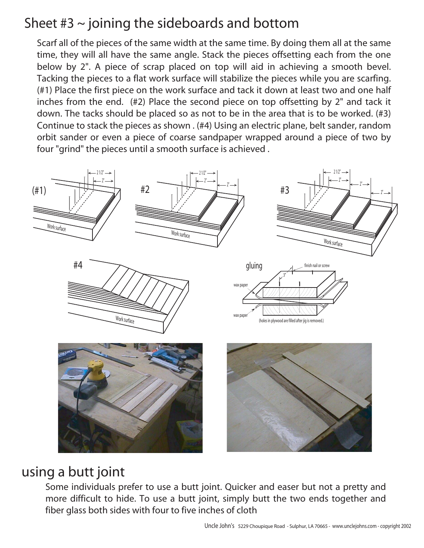# Sheet  $#3 \sim$  joining the sideboards and bottom

Scarf all of the pieces of the same width at the same time. By doing them all at the same time, they will all have the same angle. Stack the pieces offsetting each from the one below by 2". A piece of scrap placed on top will aid in achieving a smooth bevel. Tacking the pieces to a flat work surface will stabilize the pieces while you are scarfing. (#1) Place the first piece on the work surface and tack it down at least two and one half inches from the end. (#2) Place the second piece on top offsetting by 2" and tack it down. The tacks should be placed so as not to be in the area that is to be worked. (#3) Continue to stack the pieces as shown . (#4) Using an electric plane, belt sander, random orbit sander or even a piece of coarse sandpaper wrapped around a piece of two by four "grind" the pieces until a smooth surface is achieved .



#### using a butt joint

Some individuals prefer to use a butt joint. Quicker and easer but not a pretty and more difficult to hide. To use a butt joint, simply butt the two ends together and fiber glass both sides with four to five inches of cloth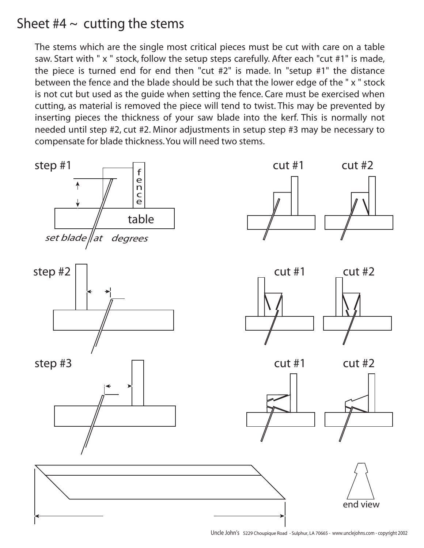## Sheet  $#4 \sim$  cutting the stems

The stems which are the single most critical pieces must be cut with care on a table saw. Start with " x " stock, follow the setup steps carefully. After each "cut #1" is made, the piece is turned end for end then "cut #2" is made. In "setup #1" the distance between the fence and the blade should be such that the lower edge of the " x " stock is not cut but used as the guide when setting the fence. Care must be exercised when cutting, as material is removed the piece will tend to twist. This may be prevented by inserting pieces the thickness of your saw blade into the kerf. This is normally not needed until step #2, cut #2. Minor adjustments in setup step #3 may be necessary to compensate for blade thickness. You will need two stems.

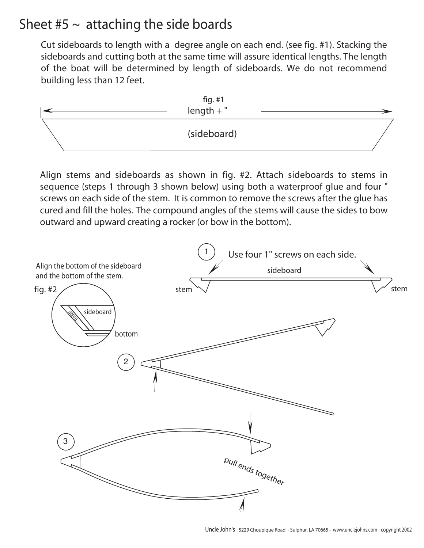#### Sheet  $#5 \sim$  attaching the side boards

Cut sideboards to length with a degree angle on each end. (see fig. #1). Stacking the sideboards and cutting both at the same time will assure identical lengths. The length of the boat will be determined by length of sideboards. We do not recommend building less than 12 feet.



Align stems and sideboards as shown in fig. #2. Attach sideboards to stems in sequence (steps 1 through 3 shown below) using both a waterproof glue and four " screws on each side of the stem. It is common to remove the screws after the glue has cured and fill the holes. The compound angles of the stems will cause the sides to bow outward and upward creating a rocker (or bow in the bottom).

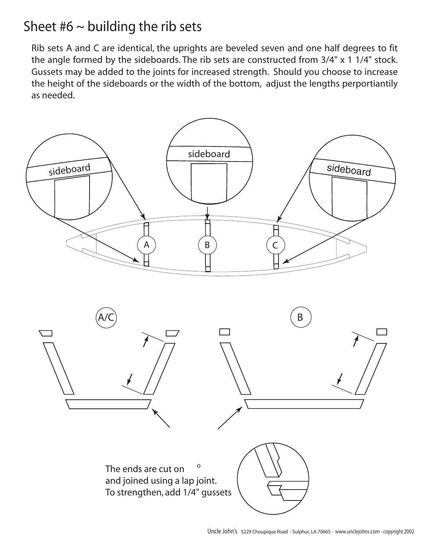### Sheet  $#6 \sim$  building the rib sets

Rib sets A and C are identical, the uprights are beveled seven and one half degrees to fit the angle formed by the sideboards. The rib sets are constructed from 3/4" x 1 1/4" stock. Gussets may be added to the joints for increased strength. Should you choose to increase the height of the sideboards or the width of the bottom, adjust the lengths perportiantily as needed.

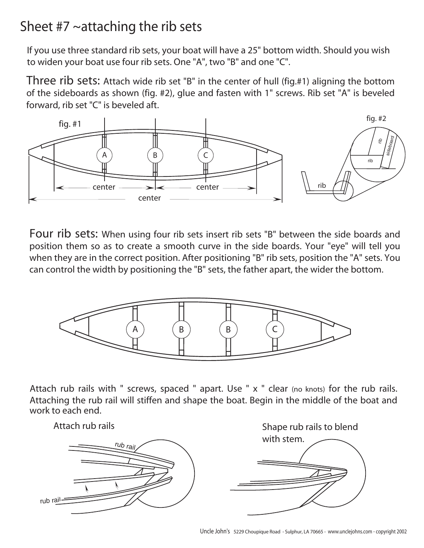## Sheet  $#7 \sim$ attaching the rib sets

If you use three standard rib sets, your boat will have a 25" bottom width. Should you wish to widen your boat use four rib sets. One "A", two "B" and one "C".

Three rib sets: Attach wide rib set "B" in the center of hull (fig.#1) aligning the bottom of the sideboards as shown (fig. #2), glue and fasten with 1" screws. Rib set "A" is beveled forward, rib set "C" is beveled aft.



Four rib sets: When using four rib sets insert rib sets "B" between the side boards and position them so as to create a smooth curve in the side boards. Your "eye" will tell you when they are in the correct position. After positioning "B" rib sets, position the "A" sets. You can control the width by positioning the "B" sets, the father apart, the wider the bottom.



Attach rub rails with " screws, spaced " apart. Use " x " clear (no knots) for the rub rails. Attaching the rub rail will stiffen and shape the boat. Begin in the middle of the boat and work to each end.

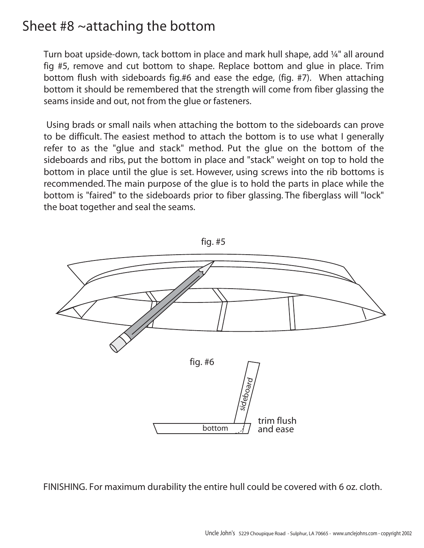#### Sheet #8 ~attaching the bottom

Turn boat upside-down, tack bottom in place and mark hull shape, add ¼" all around fig #5, remove and cut bottom to shape. Replace bottom and glue in place. Trim bottom flush with sideboards fig.#6 and ease the edge, (fig. #7). When attaching bottom it should be remembered that the strength will come from fiber glassing the seams inside and out, not from the glue or fasteners.

 Using brads or small nails when attaching the bottom to the sideboards can prove to be difficult. The easiest method to attach the bottom is to use what I generally refer to as the "glue and stack" method. Put the glue on the bottom of the sideboards and ribs, put the bottom in place and "stack" weight on top to hold the bottom in place until the glue is set. However, using screws into the rib bottoms is recommended. The main purpose of the glue is to hold the parts in place while the bottom is "faired" to the sideboards prior to fiber glassing. The fiberglass will "lock" the boat together and seal the seams.



FINISHING. For maximum durability the entire hull could be covered with 6 oz. cloth.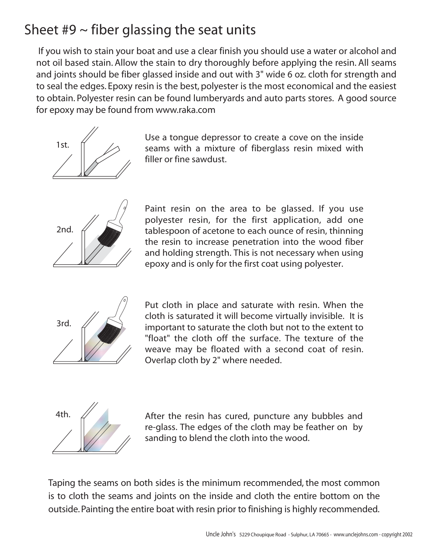# Sheet  $#9 \sim$  fiber glassing the seat units

 If you wish to stain your boat and use a clear finish you should use a water or alcohol and not oil based stain. Allow the stain to dry thoroughly before applying the resin. All seams and joints should be fiber glassed inside and out with 3" wide 6 oz. cloth for strength and to seal the edges. Epoxy resin is the best, polyester is the most economical and the easiest to obtain. Polyester resin can be found lumberyards and auto parts stores. A good source for epoxy may be found from www.raka.com



Use a tongue depressor to create a cove on the inside seams with a mixture of fiberglass resin mixed with filler or fine sawdust.



Paint resin on the area to be glassed. If you use polyester resin, for the first application, add one tablespoon of acetone to each ounce of resin, thinning the resin to increase penetration into the wood fiber and holding strength. This is not necessary when using epoxy and is only for the first coat using polyester.



Put cloth in place and saturate with resin. When the cloth is saturated it will become virtually invisible. It is important to saturate the cloth but not to the extent to "float" the cloth off the surface. The texture of the weave may be floated with a second coat of resin. Overlap cloth by 2" where needed.



4th.  $\mathcal{A}$  After the resin has cured, puncture any bubbles and re-glass. The edges of the cloth may be feather on by sanding to blend the cloth into the wood.

Taping the seams on both sides is the minimum recommended, the most common is to cloth the seams and joints on the inside and cloth the entire bottom on the outside. Painting the entire boat with resin prior to finishing is highly recommended.